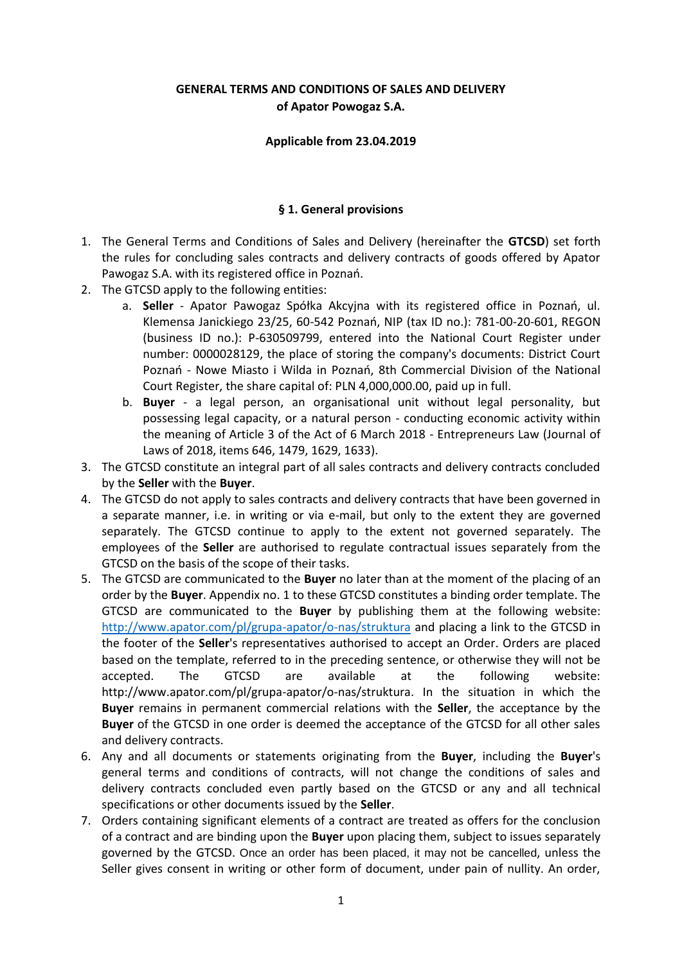# **GENERAL TERMS AND CONDITIONS OF SALES AND DELIVERY of Apator Powogaz S.A.**

#### **Applicable from 23.04.2019**

#### **§ 1. General provisions**

- 1. The General Terms and Conditions of Sales and Delivery (hereinafter the **GTCSD**) set forth the rules for concluding sales contracts and delivery contracts of goods offered by Apator Pawogaz S.A. with its registered office in Poznań.
- 2. The GTCSD apply to the following entities:
	- a. **Seller**  Apator Pawogaz Spółka Akcyjna with its registered office in Poznań, ul. Klemensa Janickiego 23/25, 60-542 Poznań, NIP (tax ID no.): 781-00-20-601, REGON (business ID no.): P-630509799, entered into the National Court Register under number: 0000028129, the place of storing the company's documents: District Court Poznań - Nowe Miasto i Wilda in Poznań, 8th Commercial Division of the National Court Register, the share capital of: PLN 4,000,000.00, paid up in full.
	- b. **Buyer**  a legal person, an organisational unit without legal personality, but possessing legal capacity, or a natural person - conducting economic activity within the meaning of Article 3 of the Act of 6 March 2018 - Entrepreneurs Law (Journal of Laws of 2018, items 646, 1479, 1629, 1633).
- 3. The GTCSD constitute an integral part of all sales contracts and delivery contracts concluded by the **Seller** with the **Buyer**.
- 4. The GTCSD do not apply to sales contracts and delivery contracts that have been governed in a separate manner, i.e. in writing or via e-mail, but only to the extent they are governed separately. The GTCSD continue to apply to the extent not governed separately. The employees of the **Seller** are authorised to regulate contractual issues separately from the GTCSD on the basis of the scope of their tasks.
- 5. The GTCSD are communicated to the **Buyer** no later than at the moment of the placing of an order by the **Buyer**. Appendix no. 1 to these GTCSD constitutes a binding order template. The GTCSD are communicated to the **Buyer** by publishing them at the following website: <http://www.apator.com/pl/grupa-apator/o-nas/struktura> and placing a link to the GTCSD in the footer of the **Seller**'s representatives authorised to accept an Order. Orders are placed based on the template, referred to in the preceding sentence, or otherwise they will not be accepted. The GTCSD are available at the following website: http://www.apator.com/pl/grupa-apator/o-nas/struktura. In the situation in which the **Buyer** remains in permanent commercial relations with the **Seller**, the acceptance by the **Buyer** of the GTCSD in one order is deemed the acceptance of the GTCSD for all other sales and delivery contracts.
- 6. Any and all documents or statements originating from the **Buyer**, including the **Buyer**'s general terms and conditions of contracts, will not change the conditions of sales and delivery contracts concluded even partly based on the GTCSD or any and all technical specifications or other documents issued by the **Seller**.
- 7. Orders containing significant elements of a contract are treated as offers for the conclusion of a contract and are binding upon the **Buyer** upon placing them, subject to issues separately governed by the GTCSD. Once an order has been placed, it may not be cancelled, unless the Seller gives consent in writing or other form of document, under pain of nullity. An order,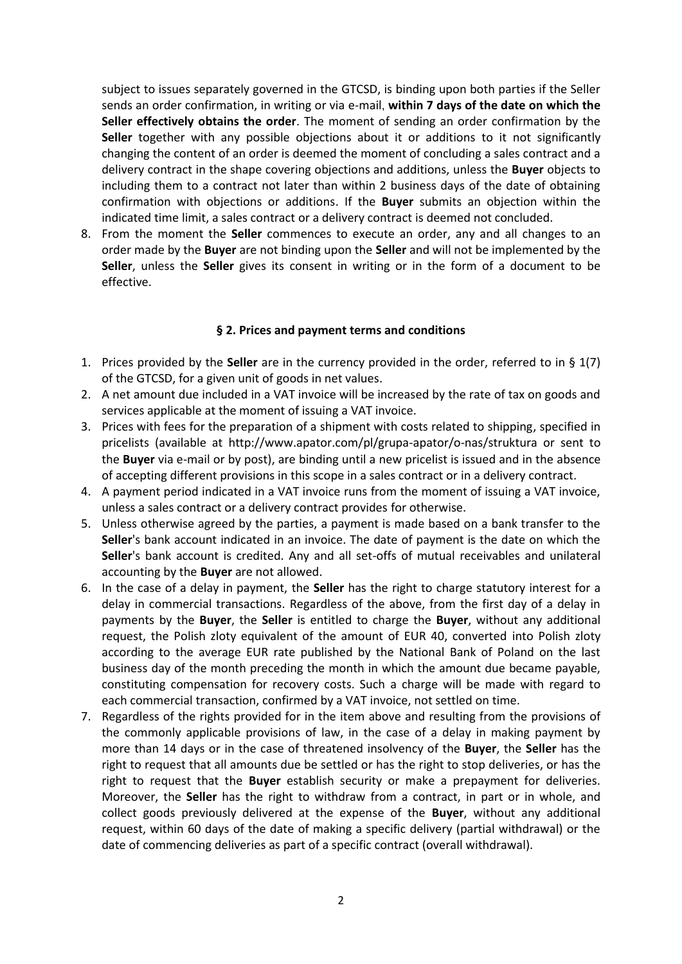subject to issues separately governed in the GTCSD, is binding upon both parties if the Seller sends an order confirmation, in writing or via e-mail, **within 7 days of the date on which the Seller effectively obtains the order**. The moment of sending an order confirmation by the **Seller** together with any possible objections about it or additions to it not significantly changing the content of an order is deemed the moment of concluding a sales contract and a delivery contract in the shape covering objections and additions, unless the **Buyer** objects to including them to a contract not later than within 2 business days of the date of obtaining confirmation with objections or additions. If the **Buyer** submits an objection within the indicated time limit, a sales contract or a delivery contract is deemed not concluded.

8. From the moment the **Seller** commences to execute an order, any and all changes to an order made by the **Buyer** are not binding upon the **Seller** and will not be implemented by the **Seller**, unless the **Seller** gives its consent in writing or in the form of a document to be effective.

#### **§ 2. Prices and payment terms and conditions**

- 1. Prices provided by the **Seller** are in the currency provided in the order, referred to in § 1(7) of the GTCSD, for a given unit of goods in net values.
- 2. A net amount due included in a VAT invoice will be increased by the rate of tax on goods and services applicable at the moment of issuing a VAT invoice.
- 3. Prices with fees for the preparation of a shipment with costs related to shipping, specified in pricelists (available at http://www.apator.com/pl/grupa-apator/o-nas/struktura or sent to the **Buyer** via e-mail or by post), are binding until a new pricelist is issued and in the absence of accepting different provisions in this scope in a sales contract or in a delivery contract.
- 4. A payment period indicated in a VAT invoice runs from the moment of issuing a VAT invoice, unless a sales contract or a delivery contract provides for otherwise.
- 5. Unless otherwise agreed by the parties, a payment is made based on a bank transfer to the **Seller**'s bank account indicated in an invoice. The date of payment is the date on which the **Seller**'s bank account is credited. Any and all set-offs of mutual receivables and unilateral accounting by the **Buyer** are not allowed.
- 6. In the case of a delay in payment, the **Seller** has the right to charge statutory interest for a delay in commercial transactions. Regardless of the above, from the first day of a delay in payments by the **Buyer**, the **Seller** is entitled to charge the **Buyer**, without any additional request, the Polish zloty equivalent of the amount of EUR 40, converted into Polish zloty according to the average EUR rate published by the National Bank of Poland on the last business day of the month preceding the month in which the amount due became payable, constituting compensation for recovery costs. Such a charge will be made with regard to each commercial transaction, confirmed by a VAT invoice, not settled on time.
- 7. Regardless of the rights provided for in the item above and resulting from the provisions of the commonly applicable provisions of law, in the case of a delay in making payment by more than 14 days or in the case of threatened insolvency of the **Buyer**, the **Seller** has the right to request that all amounts due be settled or has the right to stop deliveries, or has the right to request that the **Buyer** establish security or make a prepayment for deliveries. Moreover, the **Seller** has the right to withdraw from a contract, in part or in whole, and collect goods previously delivered at the expense of the **Buyer**, without any additional request, within 60 days of the date of making a specific delivery (partial withdrawal) or the date of commencing deliveries as part of a specific contract (overall withdrawal).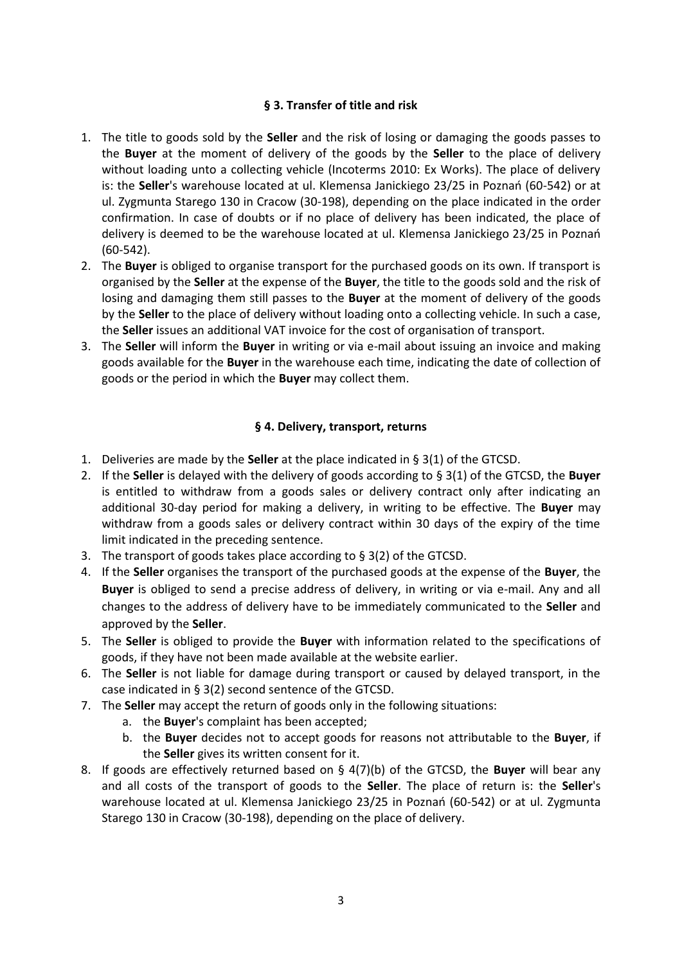# **§ 3. Transfer of title and risk**

- 1. The title to goods sold by the **Seller** and the risk of losing or damaging the goods passes to the **Buyer** at the moment of delivery of the goods by the **Seller** to the place of delivery without loading unto a collecting vehicle (Incoterms 2010: Ex Works). The place of delivery is: the **Seller**'s warehouse located at ul. Klemensa Janickiego 23/25 in Poznań (60-542) or at ul. Zygmunta Starego 130 in Cracow (30-198), depending on the place indicated in the order confirmation. In case of doubts or if no place of delivery has been indicated, the place of delivery is deemed to be the warehouse located at ul. Klemensa Janickiego 23/25 in Poznań (60-542).
- 2. The **Buyer** is obliged to organise transport for the purchased goods on its own. If transport is organised by the **Seller** at the expense of the **Buyer**, the title to the goods sold and the risk of losing and damaging them still passes to the **Buyer** at the moment of delivery of the goods by the **Seller** to the place of delivery without loading onto a collecting vehicle. In such a case, the **Seller** issues an additional VAT invoice for the cost of organisation of transport.
- 3. The **Seller** will inform the **Buyer** in writing or via e-mail about issuing an invoice and making goods available for the **Buyer** in the warehouse each time, indicating the date of collection of goods or the period in which the **Buyer** may collect them.

## **§ 4. Delivery, transport, returns**

- 1. Deliveries are made by the **Seller** at the place indicated in § 3(1) of the GTCSD.
- 2. If the **Seller** is delayed with the delivery of goods according to § 3(1) of the GTCSD, the **Buyer** is entitled to withdraw from a goods sales or delivery contract only after indicating an additional 30-day period for making a delivery, in writing to be effective. The **Buyer** may withdraw from a goods sales or delivery contract within 30 days of the expiry of the time limit indicated in the preceding sentence.
- 3. The transport of goods takes place according to § 3(2) of the GTCSD.
- 4. If the **Seller** organises the transport of the purchased goods at the expense of the **Buyer**, the **Buyer** is obliged to send a precise address of delivery, in writing or via e-mail. Any and all changes to the address of delivery have to be immediately communicated to the **Seller** and approved by the **Seller**.
- 5. The **Seller** is obliged to provide the **Buyer** with information related to the specifications of goods, if they have not been made available at the website earlier.
- 6. The **Seller** is not liable for damage during transport or caused by delayed transport, in the case indicated in § 3(2) second sentence of the GTCSD.
- 7. The **Seller** may accept the return of goods only in the following situations:
	- a. the **Buyer**'s complaint has been accepted;
	- b. the **Buyer** decides not to accept goods for reasons not attributable to the **Buyer**, if the **Seller** gives its written consent for it.
- 8. If goods are effectively returned based on § 4(7)(b) of the GTCSD, the **Buyer** will bear any and all costs of the transport of goods to the **Seller**. The place of return is: the **Seller**'s warehouse located at ul. Klemensa Janickiego 23/25 in Poznań (60-542) or at ul. Zygmunta Starego 130 in Cracow (30-198), depending on the place of delivery.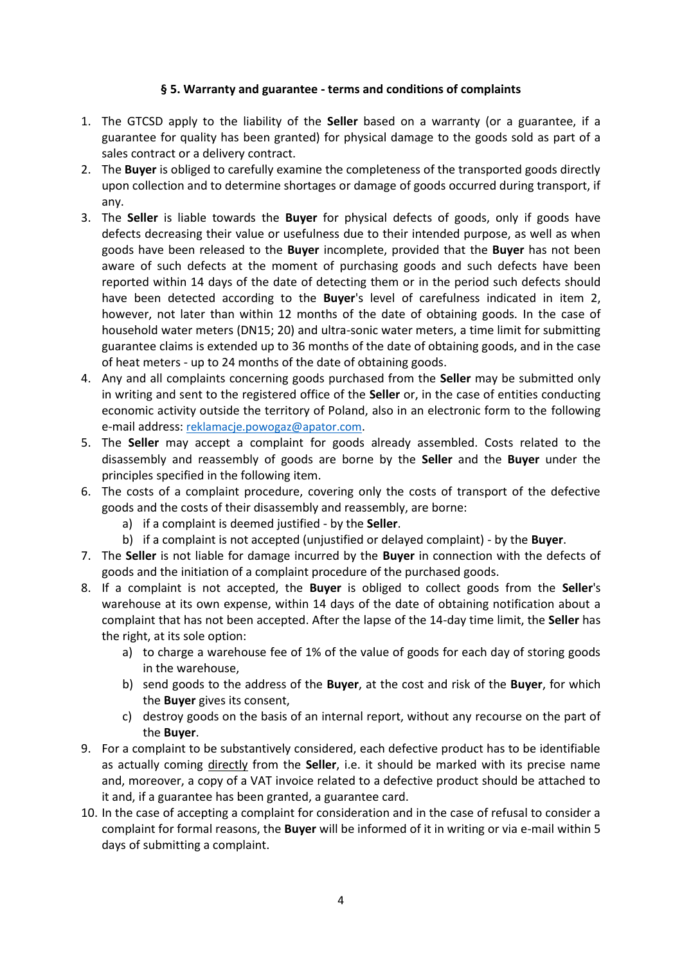# **§ 5. Warranty and guarantee - terms and conditions of complaints**

- 1. The GTCSD apply to the liability of the **Seller** based on a warranty (or a guarantee, if a guarantee for quality has been granted) for physical damage to the goods sold as part of a sales contract or a delivery contract.
- 2. The **Buyer** is obliged to carefully examine the completeness of the transported goods directly upon collection and to determine shortages or damage of goods occurred during transport, if any.
- 3. The **Seller** is liable towards the **Buyer** for physical defects of goods, only if goods have defects decreasing their value or usefulness due to their intended purpose, as well as when goods have been released to the **Buyer** incomplete, provided that the **Buyer** has not been aware of such defects at the moment of purchasing goods and such defects have been reported within 14 days of the date of detecting them or in the period such defects should have been detected according to the **Buyer**'s level of carefulness indicated in item 2, however, not later than within 12 months of the date of obtaining goods. In the case of household water meters (DN15; 20) and ultra-sonic water meters, a time limit for submitting guarantee claims is extended up to 36 months of the date of obtaining goods, and in the case of heat meters - up to 24 months of the date of obtaining goods.
- 4. Any and all complaints concerning goods purchased from the **Seller** may be submitted only in writing and sent to the registered office of the **Seller** or, in the case of entities conducting economic activity outside the territory of Poland, also in an electronic form to the following e-mail address: [reklamacje.powogaz@apator.com.](mailto:reklamacje.powogaz@apator.com)
- 5. The **Seller** may accept a complaint for goods already assembled. Costs related to the disassembly and reassembly of goods are borne by the **Seller** and the **Buyer** under the principles specified in the following item.
- 6. The costs of a complaint procedure, covering only the costs of transport of the defective goods and the costs of their disassembly and reassembly, are borne:
	- a) if a complaint is deemed justified by the **Seller**.
	- b) if a complaint is not accepted (unjustified or delayed complaint) by the **Buyer**.
- 7. The **Seller** is not liable for damage incurred by the **Buyer** in connection with the defects of goods and the initiation of a complaint procedure of the purchased goods.
- 8. If a complaint is not accepted, the **Buyer** is obliged to collect goods from the **Seller**'s warehouse at its own expense, within 14 days of the date of obtaining notification about a complaint that has not been accepted. After the lapse of the 14-day time limit, the **Seller** has the right, at its sole option:
	- a) to charge a warehouse fee of 1% of the value of goods for each day of storing goods in the warehouse,
	- b) send goods to the address of the **Buyer**, at the cost and risk of the **Buyer**, for which the **Buyer** gives its consent,
	- c) destroy goods on the basis of an internal report, without any recourse on the part of the **Buyer**.
- 9. For a complaint to be substantively considered, each defective product has to be identifiable as actually coming directly from the **Seller**, i.e. it should be marked with its precise name and, moreover, a copy of a VAT invoice related to a defective product should be attached to it and, if a guarantee has been granted, a guarantee card.
- 10. In the case of accepting a complaint for consideration and in the case of refusal to consider a complaint for formal reasons, the **Buyer** will be informed of it in writing or via e-mail within 5 days of submitting a complaint.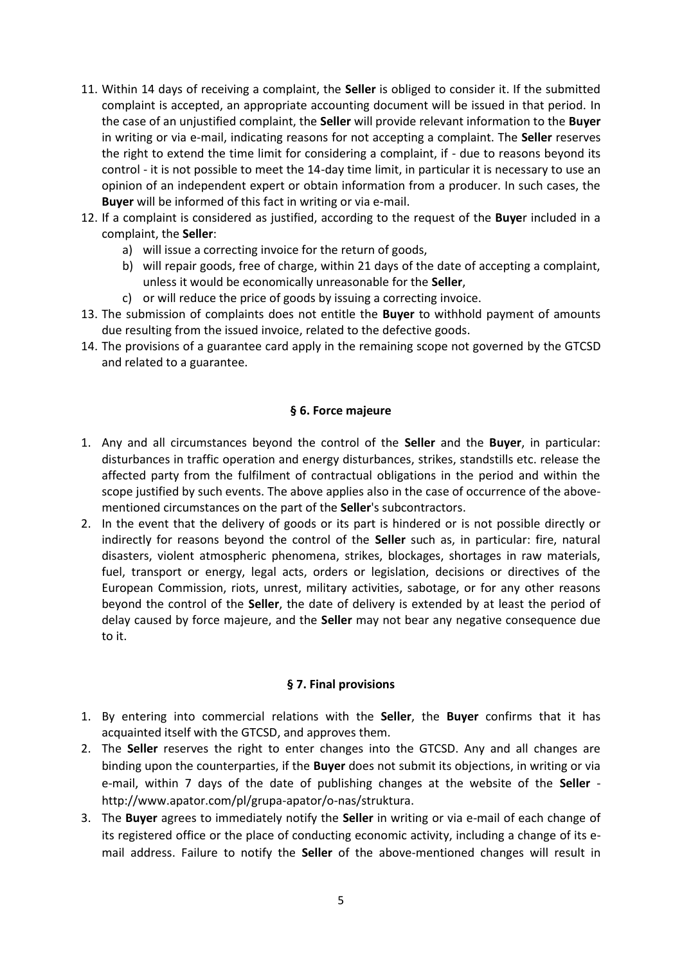- 11. Within 14 days of receiving a complaint, the **Seller** is obliged to consider it. If the submitted complaint is accepted, an appropriate accounting document will be issued in that period. In the case of an unjustified complaint, the **Seller** will provide relevant information to the **Buyer** in writing or via e-mail, indicating reasons for not accepting a complaint. The **Seller** reserves the right to extend the time limit for considering a complaint, if - due to reasons beyond its control - it is not possible to meet the 14-day time limit, in particular it is necessary to use an opinion of an independent expert or obtain information from a producer. In such cases, the **Buyer** will be informed of this fact in writing or via e-mail.
- 12. If a complaint is considered as justified, according to the request of the **Buye**r included in a complaint, the **Seller**:
	- a) will issue a correcting invoice for the return of goods,
	- b) will repair goods, free of charge, within 21 days of the date of accepting a complaint, unless it would be economically unreasonable for the **Seller**,
	- c) or will reduce the price of goods by issuing a correcting invoice.
- 13. The submission of complaints does not entitle the **Buyer** to withhold payment of amounts due resulting from the issued invoice, related to the defective goods.
- 14. The provisions of a guarantee card apply in the remaining scope not governed by the GTCSD and related to a guarantee.

## **§ 6. Force majeure**

- 1. Any and all circumstances beyond the control of the **Seller** and the **Buyer**, in particular: disturbances in traffic operation and energy disturbances, strikes, standstills etc. release the affected party from the fulfilment of contractual obligations in the period and within the scope justified by such events. The above applies also in the case of occurrence of the abovementioned circumstances on the part of the **Seller**'s subcontractors.
- 2. In the event that the delivery of goods or its part is hindered or is not possible directly or indirectly for reasons beyond the control of the **Seller** such as, in particular: fire, natural disasters, violent atmospheric phenomena, strikes, blockages, shortages in raw materials, fuel, transport or energy, legal acts, orders or legislation, decisions or directives of the European Commission, riots, unrest, military activities, sabotage, or for any other reasons beyond the control of the **Seller**, the date of delivery is extended by at least the period of delay caused by force majeure, and the **Seller** may not bear any negative consequence due to it.

## **§ 7. Final provisions**

- 1. By entering into commercial relations with the **Seller**, the **Buyer** confirms that it has acquainted itself with the GTCSD, and approves them.
- 2. The **Seller** reserves the right to enter changes into the GTCSD. Any and all changes are binding upon the counterparties, if the **Buyer** does not submit its objections, in writing or via e-mail, within 7 days of the date of publishing changes at the website of the **Seller** http://www.apator.com/pl/grupa-apator/o-nas/struktura.
- 3. The **Buyer** agrees to immediately notify the **Seller** in writing or via e-mail of each change of its registered office or the place of conducting economic activity, including a change of its email address. Failure to notify the **Seller** of the above-mentioned changes will result in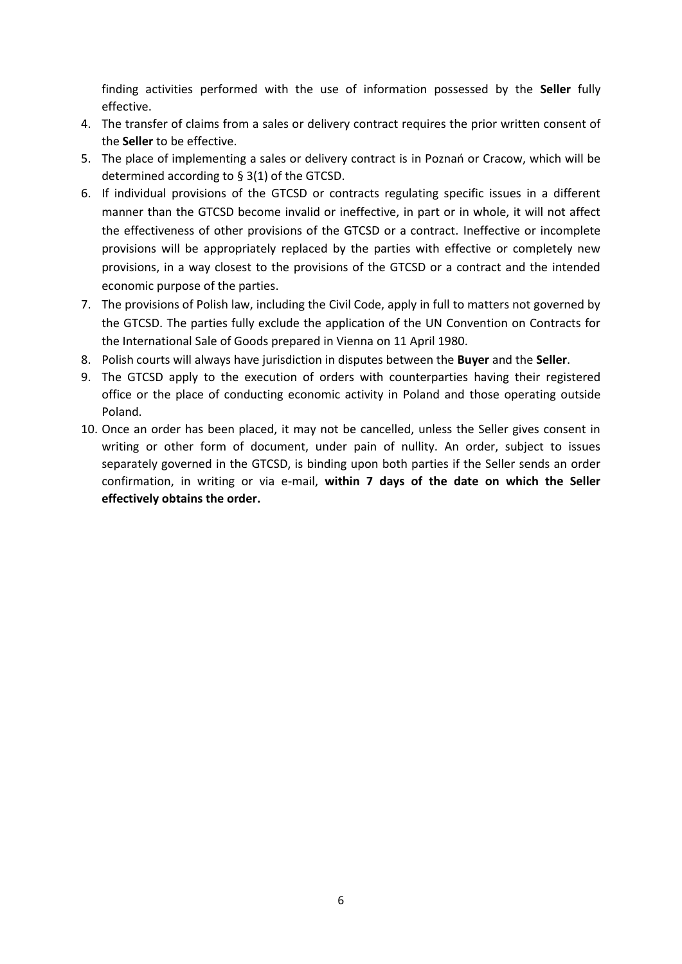finding activities performed with the use of information possessed by the **Seller** fully effective.

- 4. The transfer of claims from a sales or delivery contract requires the prior written consent of the **Seller** to be effective.
- 5. The place of implementing a sales or delivery contract is in Poznań or Cracow, which will be determined according to § 3(1) of the GTCSD.
- 6. If individual provisions of the GTCSD or contracts regulating specific issues in a different manner than the GTCSD become invalid or ineffective, in part or in whole, it will not affect the effectiveness of other provisions of the GTCSD or a contract. Ineffective or incomplete provisions will be appropriately replaced by the parties with effective or completely new provisions, in a way closest to the provisions of the GTCSD or a contract and the intended economic purpose of the parties.
- 7. The provisions of Polish law, including the Civil Code, apply in full to matters not governed by the GTCSD. The parties fully exclude the application of the UN Convention on Contracts for the International Sale of Goods prepared in Vienna on 11 April 1980.
- 8. Polish courts will always have jurisdiction in disputes between the **Buyer** and the **Seller**.
- 9. The GTCSD apply to the execution of orders with counterparties having their registered office or the place of conducting economic activity in Poland and those operating outside Poland.
- 10. Once an order has been placed, it may not be cancelled, unless the Seller gives consent in writing or other form of document, under pain of nullity. An order, subject to issues separately governed in the GTCSD, is binding upon both parties if the Seller sends an order confirmation, in writing or via e-mail, **within 7 days of the date on which the Seller effectively obtains the order.**